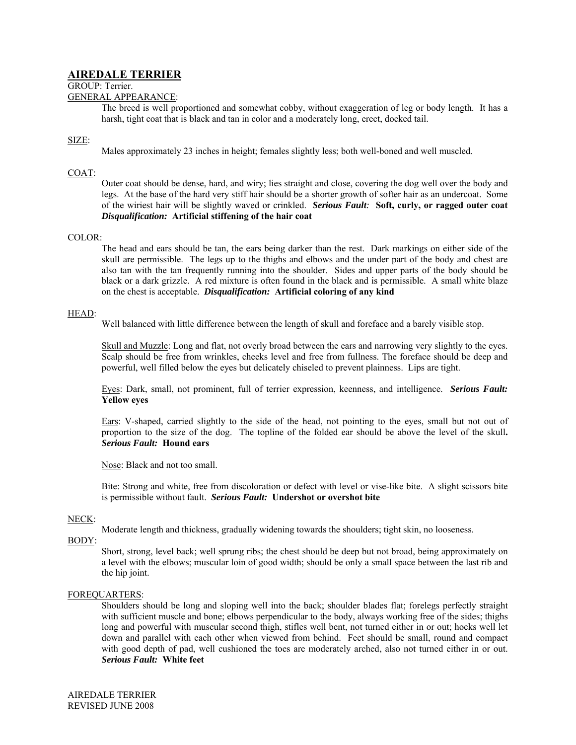# **AIREDALE TERRIER**

GROUP: Terrier.

### GENERAL APPEARANCE:

The breed is well proportioned and somewhat cobby, without exaggeration of leg or body length. It has a harsh, tight coat that is black and tan in color and a moderately long, erect, docked tail.

# SIZE:

Males approximately 23 inches in height; females slightly less; both well-boned and well muscled.

# COAT:

Outer coat should be dense, hard, and wiry; lies straight and close, covering the dog well over the body and legs. At the base of the hard very stiff hair should be a shorter growth of softer hair as an undercoat. Some of the wiriest hair will be slightly waved or crinkled. *Serious Fault:* **Soft, curly, or ragged outer coat** *Disqualification:* **Artificial stiffening of the hair coat** 

## COLOR:

The head and ears should be tan, the ears being darker than the rest. Dark markings on either side of the skull are permissible. The legs up to the thighs and elbows and the under part of the body and chest are also tan with the tan frequently running into the shoulder. Sides and upper parts of the body should be black or a dark grizzle. A red mixture is often found in the black and is permissible. A small white blaze on the chest is acceptable. *Disqualification:* **Artificial coloring of any kind** 

### HEAD:

Well balanced with little difference between the length of skull and foreface and a barely visible stop.

Skull and Muzzle: Long and flat, not overly broad between the ears and narrowing very slightly to the eyes. Scalp should be free from wrinkles, cheeks level and free from fullness. The foreface should be deep and powerful, well filled below the eyes but delicately chiseled to prevent plainness. Lips are tight.

Eyes: Dark, small, not prominent, full of terrier expression, keenness, and intelligence. *Serious Fault:*  **Yellow eyes** 

Ears: V-shaped, carried slightly to the side of the head, not pointing to the eyes, small but not out of proportion to the size of the dog. The topline of the folded ear should be above the level of the skull**.**  *Serious Fault:* **Hound ears** 

Nose: Black and not too small.

Bite: Strong and white, free from discoloration or defect with level or vise-like bite. A slight scissors bite is permissible without fault. *Serious Fault:* **Undershot or overshot bite** 

# NECK:

Moderate length and thickness, gradually widening towards the shoulders; tight skin, no looseness.

## BODY:

Short, strong, level back; well sprung ribs; the chest should be deep but not broad, being approximately on a level with the elbows; muscular loin of good width; should be only a small space between the last rib and the hip joint.

### FOREQUARTERS:

Shoulders should be long and sloping well into the back; shoulder blades flat; forelegs perfectly straight with sufficient muscle and bone; elbows perpendicular to the body, always working free of the sides; thighs long and powerful with muscular second thigh, stifles well bent, not turned either in or out; hocks well let down and parallel with each other when viewed from behind. Feet should be small, round and compact with good depth of pad, well cushioned the toes are moderately arched, also not turned either in or out. *Serious Fault:* **White feet**